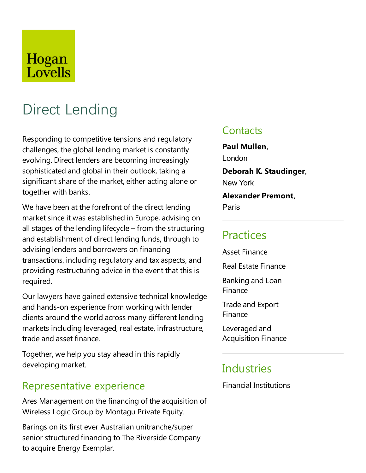## Hogan Lovells

# Direct Lending

Responding to competitive tensions and regulatory challenges, the global lending market is constantly evolving. Direct lenders are becoming increasingly sophisticated and global in their outlook, taking a significant share of the market, either acting alone or together with banks.

We have been at the forefront of the direct lending market since it was established in Europe, advising on all stages of the lending lifecycle – from the structuring and establishment of direct lending funds, through to advising lenders and borrowers on financing transactions, including regulatory and tax aspects, and providing restructuring advice in the event that this is required.

Our lawyers have gained extensive technical knowledge and hands-on experience from working with lender clients around the world across many different lending markets including leveraged, real estate, infrastructure, trade and asset finance.

Together, we help you stay ahead in this rapidly developing market.

### Representative experience

Ares Management on the financing of the acquisition of Wireless Logic Group by Montagu Private Equity.

Barings on its first ever Australian unitranche/super senior structured financing to The Riverside Company to acquire Energy Exemplar.

### **Contacts**

**Paul Mullen**, London **Deborah K. Staudinger**, New York **Alexander Premont**,

Paris

### **Practices**

Asset Finance

Real Estate Finance

Banking and Loan Finance

**Trade and Export** Finance

Leveraged and Acquisition Finance

### Industries

Financial Institutions